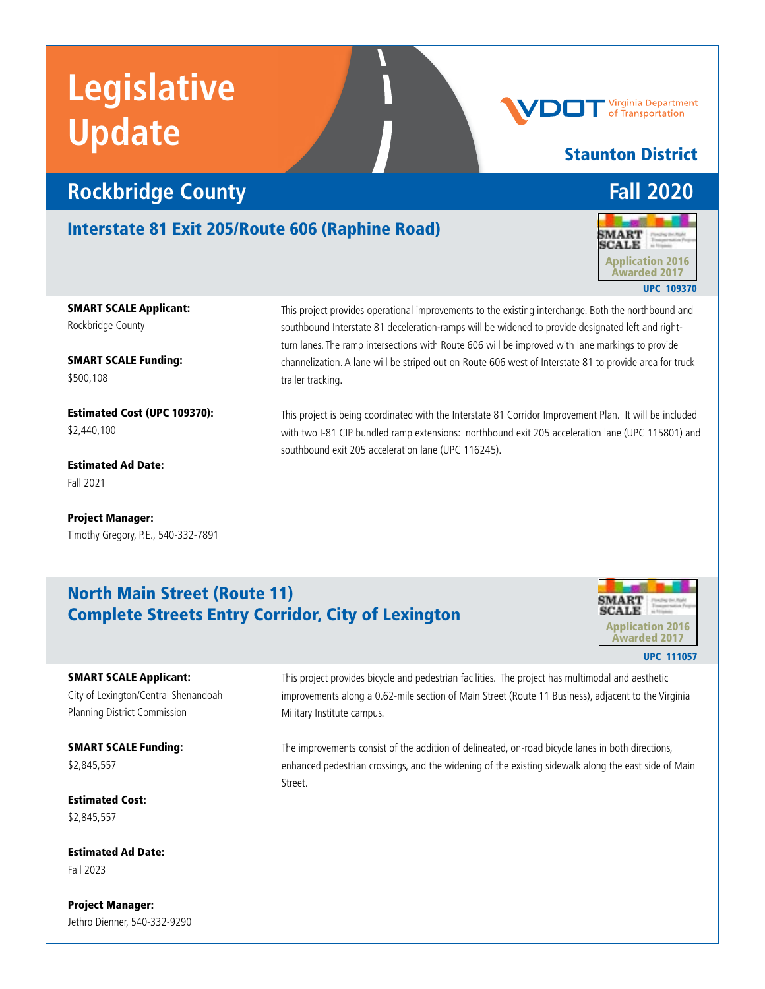# **Rockbridge County Fall 2020**

## Interstate 81 Exit 205/Route 606 (Raphine Road)



Staunton District

Virginia Department of Transportation

UPC 109370

### SMART SCALE Applicant: Rockbridge County

SMART SCALE Funding: \$500,108

Estimated Cost (UPC 109370): \$2,440,100

Estimated Ad Date: Fall 2021

Project Manager: Timothy Gregory, P.E., 540-332-7891 This project provides operational improvements to the existing interchange. Both the northbound and southbound Interstate 81 deceleration-ramps will be widened to provide designated left and rightturn lanes. The ramp intersections with Route 606 will be improved with lane markings to provide channelization. A lane will be striped out on Route 606 west of Interstate 81 to provide area for truck trailer tracking.

This project is being coordinated with the Interstate 81 Corridor Improvement Plan. It will be included with two I-81 CIP bundled ramp extensions: northbound exit 205 acceleration lane (UPC 115801) and southbound exit 205 acceleration lane (UPC 116245).

# North Main Street (Route 11) Complete Streets Entry Corridor, City of Lexington



UPC 111057

#### SMART SCALE Applicant:

City of Lexington/Central Shenandoah Planning District Commission

SMART SCALE Funding: \$2,845,557

Estimated Cost: \$2,845,557

Estimated Ad Date: Fall 2023

Project Manager: Jethro Dienner, 540-332-9290

This project provides bicycle and pedestrian facilities. The project has multimodal and aesthetic improvements along a 0.62-mile section of Main Street (Route 11 Business), adjacent to the Virginia Military Institute campus.

The improvements consist of the addition of delineated, on-road bicycle lanes in both directions, enhanced pedestrian crossings, and the widening of the existing sidewalk along the east side of Main Street.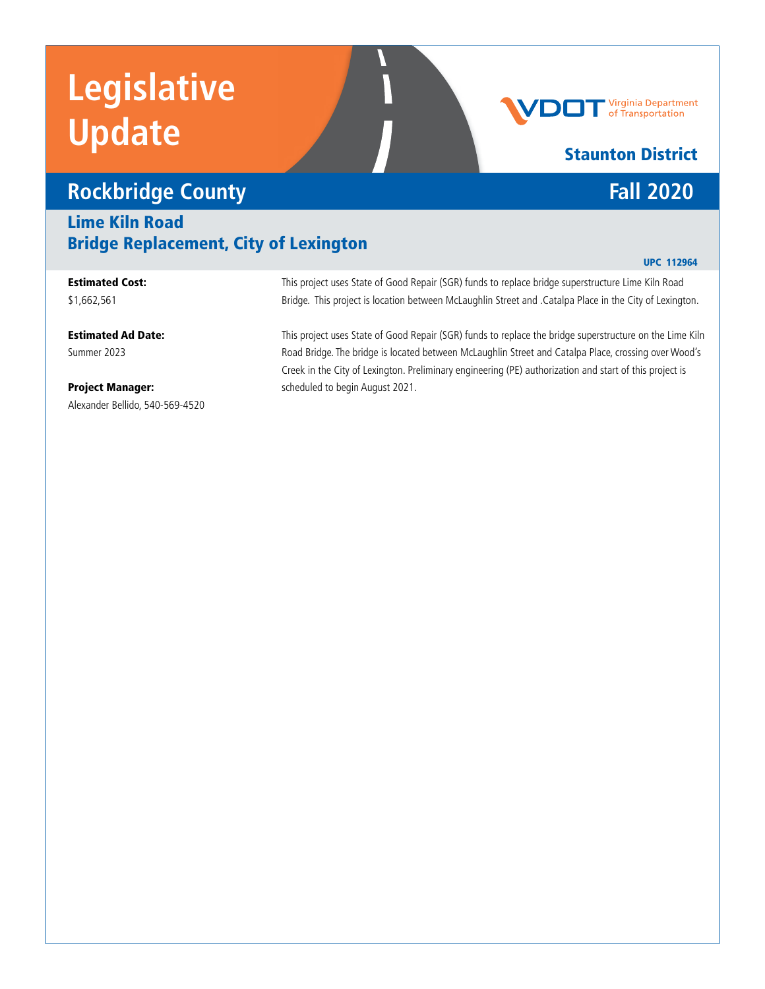# **Rockbridge County Fall 2020**

## Lime Kiln Road Bridge Replacement, City of Lexington

### Estimated Cost:

\$1,662,561

### Estimated Ad Date:

Summer 2023

### Project Manager: Alexander Bellido, 540-569-4520

This project uses State of Good Repair (SGR) funds to replace bridge superstructure Lime Kiln Road Bridge. This project is location between McLaughlin Street and .Catalpa Place in the City of Lexington.

This project uses State of Good Repair (SGR) funds to replace the bridge superstructure on the Lime Kiln Road Bridge. The bridge is located between McLaughlin Street and Catalpa Place, crossing over Wood's Creek in the City of Lexington. Preliminary engineering (PE) authorization and start of this project is scheduled to begin August 2021.

# Staunton District

UPC 112964

# **Virginia Department**<br>of Transportation

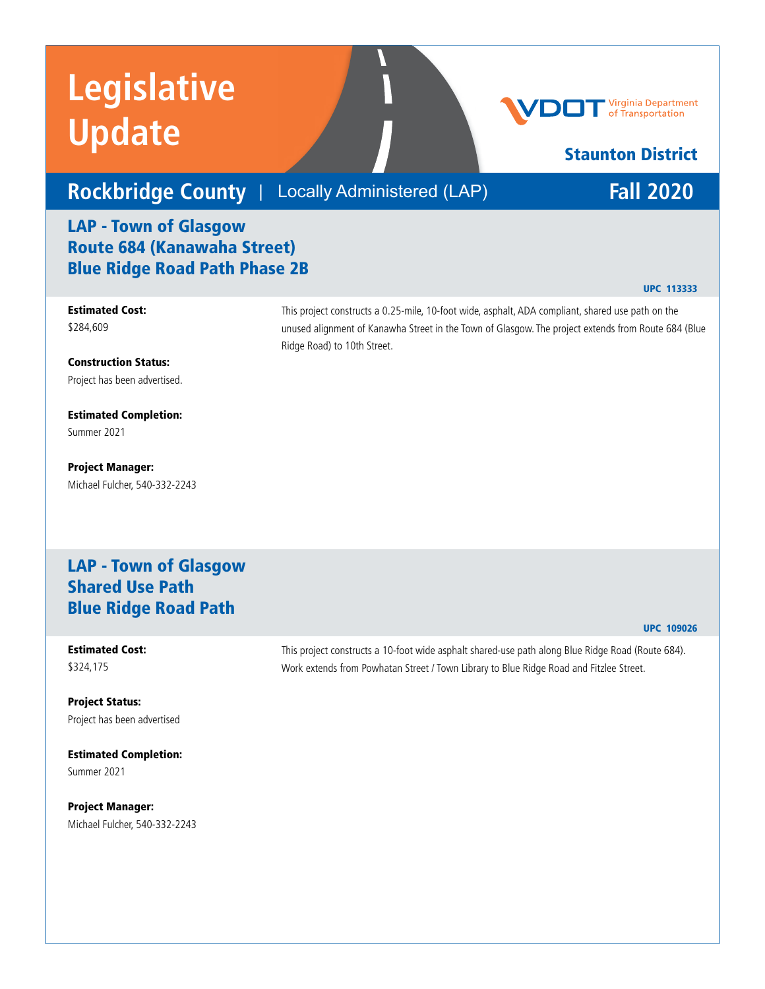# **Rockbridge County** | Locally Administered (LAP) **Fall 2020**

## LAP - Town of Glasgow Route 684 (Kanawaha Street) Blue Ridge Road Path Phase 2B

### Estimated Cost: \$284,609

Construction Status: Project has been advertised.

Estimated Completion: Summer 2021

Project Manager: Michael Fulcher, 540-332-2243

## LAP - Town of Glasgow Shared Use Path Blue Ridge Road Path

#### Estimated Cost: \$324,175

Project Status: Project has been advertised

Estimated Completion: Summer 2021

Project Manager: Michael Fulcher, 540-332-2243 unused alignment of Kanawha Street in the Town of Glasgow. The project extends from Route 684 (Blue Ridge Road) to 10th Street.

This project constructs a 0.25-mile, 10-foot wide, asphalt, ADA compliant, shared use path on the

This project constructs a 10-foot wide asphalt shared-use path along Blue Ridge Road (Route 684). Work extends from Powhatan Street / Town Library to Blue Ridge Road and Fitzlee Street.



UPC 113333

Staunton District

UPC 109026